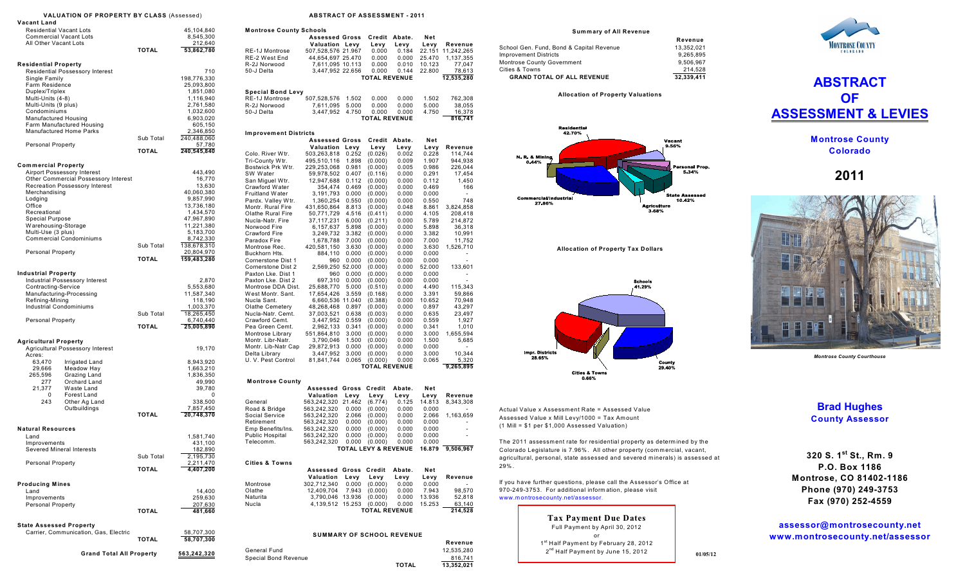|                                                                                                                      | <b>VALUATION OF PROPERTY BY CLASS (Assessed)</b>                                                                           |                           |                                                                                                    |  |  |  |  |  |  |
|----------------------------------------------------------------------------------------------------------------------|----------------------------------------------------------------------------------------------------------------------------|---------------------------|----------------------------------------------------------------------------------------------------|--|--|--|--|--|--|
| Vacant Land<br><b>Residential Vacant Lots</b><br><b>Commercial Vacant Lots</b>                                       |                                                                                                                            |                           | 45,104,840<br>8,545,300                                                                            |  |  |  |  |  |  |
| All Other Vacant Lots                                                                                                |                                                                                                                            | <b>TOTAL</b>              | 212,640<br>53,862,780                                                                              |  |  |  |  |  |  |
| <b>Residential Property</b>                                                                                          |                                                                                                                            |                           |                                                                                                    |  |  |  |  |  |  |
| Single Family<br>Farm Residence<br>Duplex/Triplex                                                                    | Residential Possessory Interest                                                                                            |                           | 710<br>198,776,330<br>25,093,800<br>1,851,080                                                      |  |  |  |  |  |  |
| Multi-Units (4-8)<br>Multi-Units (9 plus)<br>Condominiums<br>Manufactured Housing                                    | Farm Manufactured Housing                                                                                                  |                           | 1,116,940<br>2,761,580<br>1,032,600<br>6,903,020<br>605,150                                        |  |  |  |  |  |  |
|                                                                                                                      | Manufactured Home Parks                                                                                                    | Sub Total                 | 2,346,850<br>240,488,060                                                                           |  |  |  |  |  |  |
| <b>Personal Property</b>                                                                                             |                                                                                                                            | <b>TOTAL</b>              | 57,780<br>240,545,840                                                                              |  |  |  |  |  |  |
| <b>Commercial Property</b>                                                                                           |                                                                                                                            |                           |                                                                                                    |  |  |  |  |  |  |
| Merchandising<br>Lodging<br>Office<br>Recreational<br><b>Special Purpose</b>                                         | Airport Possessory Interest<br>Other Commercial Possessory Interest<br><b>Recreation Possessory Interest</b>               |                           | 443,490<br>16,770<br>13,630<br>40,060,380<br>9,857,990<br>13,736,180<br>1,434,570<br>47,967,890    |  |  |  |  |  |  |
| Warehousing-Storage<br>Multi-Use (3 plus)                                                                            | <b>Commercial Condominiums</b>                                                                                             |                           | 11,221,380<br>5,183,700<br>8,742,330                                                               |  |  |  |  |  |  |
| <b>Personal Property</b>                                                                                             |                                                                                                                            | Sub Total<br><b>TOTAL</b> | 138,678,310<br>20,804,970<br>159,483,280                                                           |  |  |  |  |  |  |
| Industrial Property<br>Contracting-Service<br>Refining-Mining<br><b>Industrial Condominiums</b><br>Personal Property | Industrial Possessory Interest<br>Manufacturing-Processing                                                                 | Sub Total<br><b>TOTAL</b> | 2,870<br>5,553,680<br>11,587,340<br>118,190<br>1,003,370<br>18,265,450<br>6,740,440<br>25,005,890  |  |  |  |  |  |  |
| <b>Agricultural Property</b>                                                                                         | Agricultural Possessory Interest                                                                                           |                           | 19,170                                                                                             |  |  |  |  |  |  |
| Acres:<br>63,470<br>29,666<br>265,596<br>277<br>21,377<br>0<br>243                                                   | Irrigated Land<br>Meadow Hay<br>Grazing Land<br>Orchard Land<br>Waste Land<br>Forest Land<br>Other Ag Land<br>Outbuildings | <b>TOTAL</b>              | 8,943,920<br>1,663,210<br>1,836,350<br>49,990<br>39,780<br>0<br>338,500<br>7,857,450<br>20,748,370 |  |  |  |  |  |  |
| <b>Natural Resources</b><br>Land<br>Improvements<br>Severed Mineral Interests                                        |                                                                                                                            |                           | 1,581,740<br>431,100<br>182,890                                                                    |  |  |  |  |  |  |
| <b>Personal Property</b>                                                                                             |                                                                                                                            | Sub Total<br><b>TOTAL</b> | 2,195,730<br>2,211,470<br>4,407,200                                                                |  |  |  |  |  |  |
| <b>Producing Mines</b><br>Land                                                                                       |                                                                                                                            |                           | 14,400                                                                                             |  |  |  |  |  |  |
| Improvements<br><b>Personal Property</b>                                                                             |                                                                                                                            | <b>TOTAL</b>              | 259,630<br>207,630<br>481,660                                                                      |  |  |  |  |  |  |
| <b>State Assessed Property</b>                                                                                       | Carrier, Communication, Gas, Electric                                                                                      | <b>TOTAL</b>              | 58,707,300<br>58,707,300                                                                           |  |  |  |  |  |  |
| <b>Grand Total All Property</b><br>563,242,320                                                                       |                                                                                                                            |                           |                                                                                                    |  |  |  |  |  |  |

## **ABSTRACT OF ASSESSMENT - 2011**

| Montrose County Schools                    |                                         |                         |                                            |                |                  |                         |  |  |  |
|--------------------------------------------|-----------------------------------------|-------------------------|--------------------------------------------|----------------|------------------|-------------------------|--|--|--|
|                                            | <b>Assessed Gross</b>                   |                         | Credit                                     | Abate.         | Net              |                         |  |  |  |
| RE-1J Montrose                             | Valuation Levy                          |                         | Levy                                       | Levy           | Levy             | Revenue                 |  |  |  |
| RE-2 West End                              | 507,528,576 21.967<br>44,654,697 25.470 |                         | 0.000<br>0.000                             | 0.184<br>0.000 | 22.151<br>25.470 | 11,242,265<br>1,137,355 |  |  |  |
| R-2J Norwood                               | 7,611,095 10.113                        |                         | 0.000                                      | 0.010          | 10.123           | 77,047                  |  |  |  |
| 50-J Delta                                 | 3,447,952 22.656                        |                         | 0.000                                      | 0.144          | 22.800           | 78,613                  |  |  |  |
|                                            |                                         |                         | <b>TOTAL REVENUE</b>                       |                |                  | 12,535,280              |  |  |  |
|                                            |                                         |                         |                                            |                |                  |                         |  |  |  |
| <b>Special Bond Levy</b><br>RE-1J Montrose | 507,528,576                             |                         |                                            |                | 1.502            |                         |  |  |  |
| R-2J Norwood                               | 7,611,095                               | 1.502<br>5.000          | 0.000<br>0.000                             | 0.000<br>0.000 | 5.000            | 762,308<br>38,055       |  |  |  |
| 50-J Delta                                 | 3,447,952                               | 4.750                   | 0.000                                      | 0.000          | 4.750            | 16,378                  |  |  |  |
|                                            |                                         |                         | <b>TOTAL REVENUE</b>                       |                |                  | 816,741                 |  |  |  |
|                                            |                                         |                         |                                            |                |                  |                         |  |  |  |
| <b>Improvement Districts</b>               | <b>Assessed Gross</b>                   | Credit<br>Net<br>Abate. |                                            |                |                  |                         |  |  |  |
|                                            | Valuation                               | Levy                    | Levy                                       | Levy           | Levy             | Revenue                 |  |  |  |
| Colo. River Wtr.                           | 503,263,818                             | 0.252                   | (0.026)                                    | 0.002          | 0.228            | 114,744                 |  |  |  |
| Tri-County Wtr.                            | 495,510,116                             | 1.898                   | (0.000)                                    | 0.009          | 1.907            | 944,938                 |  |  |  |
| Bostwick Prk Wtr.                          | 229,253,068                             | 0.981                   | (0.000)                                    | 0.005          | 0.986            | 226,044                 |  |  |  |
| SW Water                                   | 59,978,502                              | 0.407                   | (0.116)                                    | 0.000          | 0.291            | 17,454                  |  |  |  |
| San Miguel Wtr.                            | 12,947,688                              | 0.112                   | (0.000)                                    | 0.000          | 0.112            | 1,450                   |  |  |  |
| Crawford Water                             | 354,474                                 | 0.469                   | (0.000)                                    | 0.000          | 0.469            | 166                     |  |  |  |
| Fruitland Water<br>Pardx. Valley Wtr.      | 3,191,793<br>1,360,254                  | 0.000<br>0.550          | (0.000)<br>(0.000)                         | 0.000<br>0.000 | 0.000<br>0.550   | ٠<br>748                |  |  |  |
| Montr. Rural Fire                          | 431,650,864                             | 8.813                   | (0.000)                                    | 0.048          | 8.861            | 3,824,858               |  |  |  |
| Olathe Rural Fire                          | 50,771,729                              | 4.516                   | (0.411)                                    | 0.000          | 4.105            | 208,418                 |  |  |  |
| Nucla-Natr. Fire                           | 37,117,231                              | 6.000                   | (0.211)                                    | 0.000          | 5.789            | 214,872                 |  |  |  |
| Norwood Fire                               | 6,157,637                               | 5.898                   | (0.000)                                    | 0.000          | 5.898            | 36,318                  |  |  |  |
| Crawford Fire                              | 3,249,732                               | 3.382                   | (0.000)                                    | 0.000          | 3.382            | 10,991                  |  |  |  |
| Paradox Fire                               | 1,678,788                               | 7.000                   | (0.000)                                    | 0.000          | 7.000            | 11,752                  |  |  |  |
| Montrose Rec.                              | 420,581,150                             | 3.630                   | (0.000)                                    | 0.000          | 3.630            | 1,526,710               |  |  |  |
| Buckhorn Hts.                              | 884,110                                 | 0.000                   | (0.000)                                    | 0.000          | 0.000            |                         |  |  |  |
| Cornerstone Dist 1                         | 960                                     | 0.000                   | (0.000)                                    | 0.000          | 0.000            |                         |  |  |  |
| Cornerstone Dist 2<br>Paxton Lke, Dist 1   | 2,569,250 52.000<br>960                 |                         | (0.000)                                    | 0.000          | 52.000           | 133,601                 |  |  |  |
| Paxton Lke. Dist 2                         | 697,310                                 | 0.000<br>0.000          | (0.000)<br>(0.000)                         | 0.000<br>0.000 | 0.000<br>0.000   |                         |  |  |  |
| Montrose DDA Dist.                         | 25,688,770                              | 5.000                   | (0.510)                                    | 0.000          | 4.490            | 115,343                 |  |  |  |
| West Montr. Sant.                          | 17,654,426                              | 3.559                   | (0.168)                                    | 0.000          | 3.391            | 59,866                  |  |  |  |
| Nucla Sant.                                | 6,660,536 11.040                        |                         | (0.388)                                    | 0.000          | 10.652           | 70,948                  |  |  |  |
| Olathe Cemetery                            | 48,268,468                              | 0.897                   | (0.000)                                    | 0.000          | 0.897            | 43,297                  |  |  |  |
| Nucla-Natr. Cemt.                          | 37,003,521                              | 0.638                   | (0.003)                                    | 0.000          | 0.635            | 23,497                  |  |  |  |
| Crawford Cemt.                             | 3,447,952                               | 0.559                   | (0.000)                                    | 0.000          | 0.559            | 1,927                   |  |  |  |
| Pea Green Cemt.                            | 2,962,133                               | 0.341                   | (0.000)                                    | 0.000          | 0.341            | 1,010                   |  |  |  |
| Montrose Library                           | 551,864,810                             | 3.000                   | (0.000)                                    | 0.000          | 3.000            | 1,655,594               |  |  |  |
| Montr. Libr-Natr.                          | 3,790,046                               | 1.500                   | (0.000)                                    | 0.000          | 1.500            | 5,685                   |  |  |  |
| Montr. Lib-Natr Cap                        | 29,872,913<br>3,447,952                 | 0.000                   | (0.000)                                    | 0.000          | 0.000<br>3.000   | 10,344                  |  |  |  |
| Delta Library<br>U. V. Pest Control        | 81,841,744                              | 3.000<br>0.065          | (0.000)<br>(0.000)                         | 0.000<br>0.000 | 0.065            | 5,320                   |  |  |  |
|                                            |                                         |                         | <b>TOTAL REVENUE</b>                       |                |                  | 9,265,895               |  |  |  |
|                                            |                                         |                         |                                            |                |                  |                         |  |  |  |
| <b>Montrose County</b>                     | Assessed                                | Gross                   | Credit                                     | Abate.         | Net              |                         |  |  |  |
|                                            | Valuation                               | Levy                    | Levy                                       | Levy           | Levy             | Revenue                 |  |  |  |
| General                                    | 563,242,320                             | 21.462                  | (6.774)                                    | 0.125          | 14.813           | 8,343,308               |  |  |  |
| Road & Bridge                              | 563,242,320                             | 0.000                   | (0.000)                                    | 0.000          | 0.000            |                         |  |  |  |
| Social Service                             | 563,242,320                             | 2.066                   | (0.000)                                    | 0.000          | 2.066            | 1,163,659               |  |  |  |
| Retirement                                 | 563,242,320                             | 0.000                   | (0.000)                                    | 0.000          | 0.000            |                         |  |  |  |
| Emp Benefits/Ins.                          | 563,242,320                             | 0.000                   | (0.000)                                    | 0.000          | 0.000            |                         |  |  |  |
| Public Hospital                            | 563,242,320                             | 0.000                   | (0.000)                                    | 0.000          | 0.000            |                         |  |  |  |
| Telecomm.                                  | 563,242,320                             | 0.000                   | (0.000)<br><b>TOTAL LEVY &amp; REVENUE</b> | 0.000          | 0.000<br>16.879  | 9,506,967               |  |  |  |
|                                            |                                         |                         |                                            |                |                  |                         |  |  |  |
| <b>Cities &amp; Towns</b>                  |                                         |                         |                                            |                |                  |                         |  |  |  |
|                                            | <b>Assessed Gross</b><br>Valuation      |                         | Credit                                     | Abate.         | Net              | Revenue                 |  |  |  |
| Montrose                                   | 302,712,340                             | Levy<br>0.000           | Levy<br>(0.000)                            | Levy<br>0.000  | Levy<br>0.000    | ٠                       |  |  |  |
| Olathe                                     | 12,409,704                              | 7.943                   | (0.000)                                    | 0.000          | 7.943            | 98,570                  |  |  |  |
| Naturita                                   | 3,790,046 13.936                        |                         | (0.000)                                    | 0.000          | 13.936           | 52,818                  |  |  |  |
| Nucla                                      | 4,139,512 15.253                        |                         | (0.000)                                    | 0.000          | 15.253           | 63,140                  |  |  |  |
|                                            |                                         |                         | <b>TOTAL REVENUE</b>                       |                |                  | 214,528                 |  |  |  |
|                                            |                                         |                         |                                            |                |                  |                         |  |  |  |
|                                            | <b>SUMMARY OF SCHOOL REVENUE</b>        |                         |                                            |                |                  |                         |  |  |  |
|                                            |                                         |                         |                                            |                |                  | Revenue                 |  |  |  |
| General Fund                               |                                         |                         |                                            |                |                  | 12,535,280              |  |  |  |
| <b>Special Bond Revenue</b>                |                                         |                         |                                            |                |                  | 816,741                 |  |  |  |
|                                            |                                         |                         |                                            | <b>TOTAL</b>   |                  | 13.352.021              |  |  |  |

**Sum m ary of All Revenue**

|                                          | Revenue    |
|------------------------------------------|------------|
| School Gen. Fund, Bond & Capital Revenue | 13.352.021 |
| <b>Improvement Districts</b>             | 9.265.895  |
| <b>Montrose County Government</b>        | 9.506.967  |
| Cities & Towns                           | 214.528    |
| <b>GRAND TOTAL OF ALL REVENUE</b>        | 32.339.411 |

**Allocation of Property Valuations** 



**Allocation of Property Tax Dollars** 



Actual Value x Assessment Rate = Assessed Value Assessed Value x Mill Levy/1000 = Tax Am ount (1 Mill = \$1 per \$1,000 Assessed Valuation)

The 2011 assessm ent rate for residential property as determ ined by the Colorado Legislature is 7.96%. All other property (commercial, vacant, agricultural, personal, state assessed and severed minerals) is assessed at 29% .

If you have further questions, please call the Assessor's Office at 970-249-3753. For additional inform ation, please visit www.m ontrosecounty.net/assessor.

> **Tax Payment Due Dates** Full Paym ent by April 30, 2012 or 1<sup>st</sup> Half Payment by February 28, 2012  $2<sup>nd</sup>$  Half Payment by June 15, 2012





**Montrose County Colorado**

**2011**



*Montrose County Courthouse*

## **Brad Hughes County Assessor**

**320 S. 1 St., Rm. 9 st P.O. Box 1186 Montrose, CO 81402-1186 Phone (970) 249-3753 Fax (970) 252-4559**

**assessor@montrosecounty.net www.montrosecounty.net/assessor**